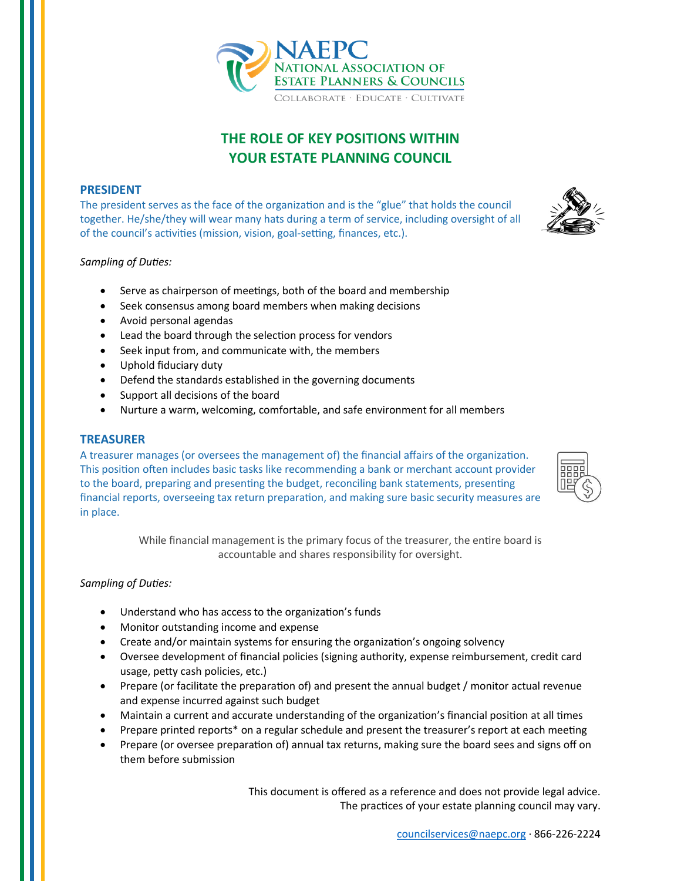

# **THE ROLE OF KEY POSITIONS WITHIN YOUR ESTATE PLANNING COUNCIL**

## **PRESIDENT**

The president serves as the face of the organization and is the "glue" that holds the council together. He/she/they will wear many hats during a term of service, including oversight of all of the council's activities (mission, vision, goal-setting, finances, etc.).

*Sampling of Duties:*

- Serve as chairperson of meetings, both of the board and membership
- Seek consensus among board members when making decisions
- Avoid personal agendas
- Lead the board through the selection process for vendors
- Seek input from, and communicate with, the members
- Uphold fiduciary duty
- Defend the standards established in the governing documents
- Support all decisions of the board
- Nurture a warm, welcoming, comfortable, and safe environment for all members

#### **TREASURER**

A treasurer manages (or oversees the management of) the financial affairs of the organization. This position often includes basic tasks like recommending a bank or merchant account provider to the board, preparing and presenting the budget, reconciling bank statements, presenting financial reports, overseeing tax return preparation, and making sure basic security measures are in place.

> While financial management is the primary focus of the treasurer, the entire board is accountable and shares responsibility for oversight.

#### *Sampling of Duties:*

- Understand who has access to the organization's funds
- Monitor outstanding income and expense
- Create and/or maintain systems for ensuring the organization's ongoing solvency
- Oversee development of financial policies (signing authority, expense reimbursement, credit card usage, petty cash policies, etc.)
- Prepare (or facilitate the preparation of) and present the annual budget / monitor actual revenue and expense incurred against such budget
- Maintain a current and accurate understanding of the organization's financial position at all times
- Prepare printed reports\* on a regular schedule and present the treasurer's report at each meeting
- Prepare (or oversee preparation of) annual tax returns, making sure the board sees and signs off on them before submission

This document is offered as a reference and does not provide legal advice. The practices of your estate planning council may vary.







COLLABORATE · EDUCATE · CULTIVATE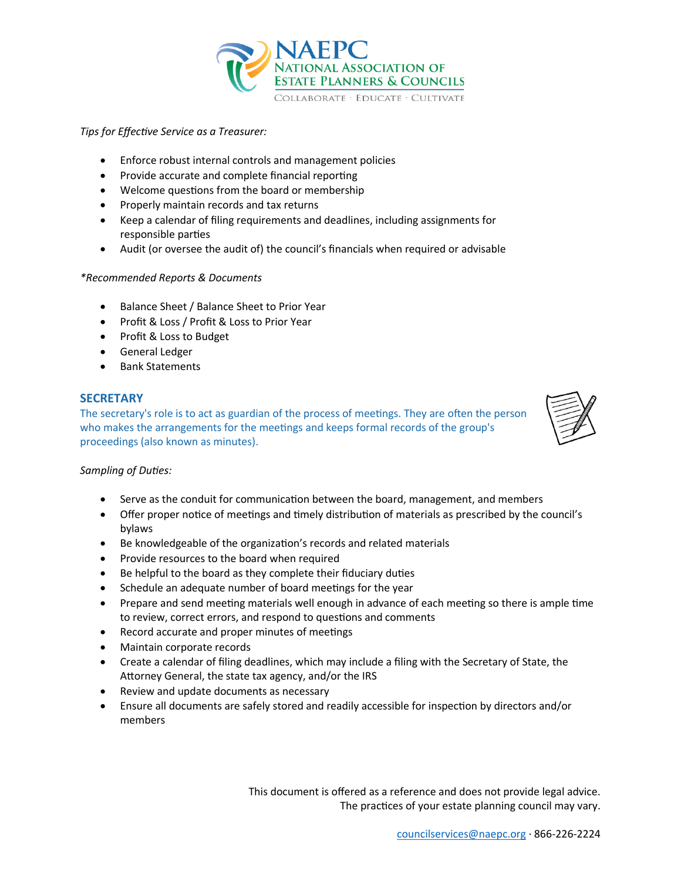

## *Tips for Effective Service as a Treasurer:*

- Enforce robust internal controls and management policies
- Provide accurate and complete financial reporting
- Welcome questions from the board or membership
- Properly maintain records and tax returns
- Keep a calendar of filing requirements and deadlines, including assignments for responsible parties
- Audit (or oversee the audit of) the council's financials when required or advisable

## *\*Recommended Reports & Documents*

- Balance Sheet / Balance Sheet to Prior Year
- Profit & Loss / Profit & Loss to Prior Year
- Profit & Loss to Budget
- General Ledger
- Bank Statements

# **SECRETARY**

The secretary's role is to act as guardian of the process of meetings. They are often the person who makes the arrangements for the meetings and keeps formal records of the group's proceedings (also known as minutes).



## *Sampling of Duties:*

- Serve as the conduit for communication between the board, management, and members
- Offer proper notice of meetings and timely distribution of materials as prescribed by the council's bylaws
- Be knowledgeable of the organization's records and related materials
- Provide resources to the board when required
- Be helpful to the board as they complete their fiduciary duties
- Schedule an adequate number of board meetings for the year
- Prepare and send meeting materials well enough in advance of each meeting so there is ample time to review, correct errors, and respond to questions and comments
- Record accurate and proper minutes of meetings
- Maintain corporate records
- Create a calendar of filing deadlines, which may include a filing with the Secretary of State, the Attorney General, the state tax agency, and/or the IRS
- Review and update documents as necessary
- Ensure all documents are safely stored and readily accessible for inspection by directors and/or members

This document is offered as a reference and does not provide legal advice. The practices of your estate planning council may vary.